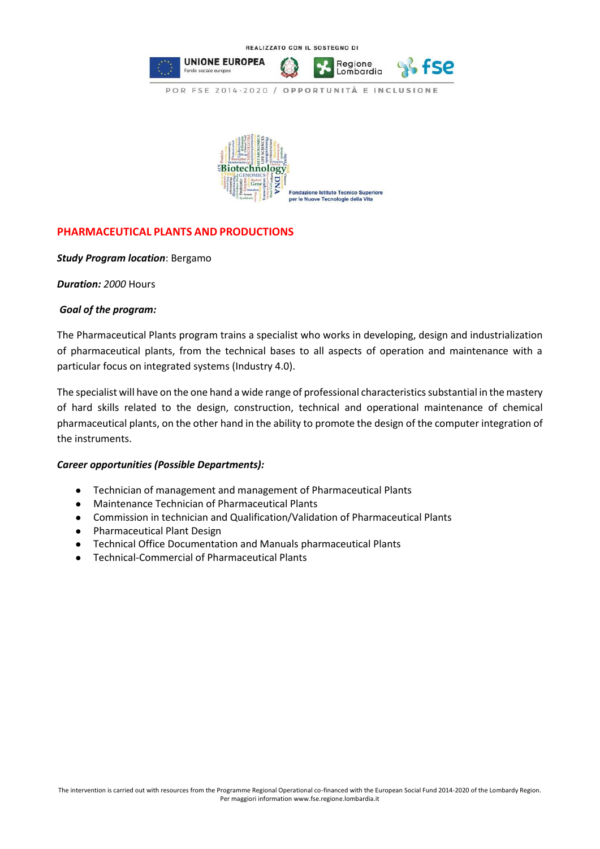



## **PHARMACEUTICAL PLANTS AND PRODUCTIONS**

## *Study Program location*: Bergamo

*Duration: 2000* Hours

## *Goal of the program:*

The Pharmaceutical Plants program trains a specialist who works in developing, design and industrialization of pharmaceutical plants, from the technical bases to all aspects of operation and maintenance with a particular focus on integrated systems (Industry 4.0).

The specialist will have on the one hand a wide range of professional characteristics substantial in the mastery of hard skills related to the design, construction, technical and operational maintenance of chemical pharmaceutical plants, on the other hand in the ability to promote the design of the computer integration of the instruments.

## *Career opportunities (Possible Departments):*

- Technician of management and management of Pharmaceutical Plants
- Maintenance Technician of Pharmaceutical Plants
- Commission in technician and Qualification/Validation of Pharmaceutical Plants
- Pharmaceutical Plant Design
- Technical Office Documentation and Manuals pharmaceutical Plants
- Technical-Commercial of Pharmaceutical Plants